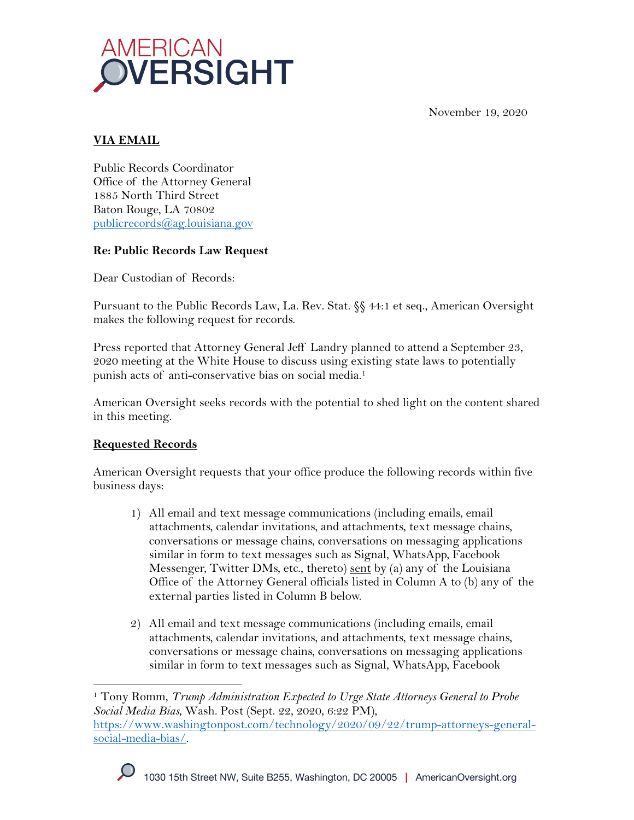November 19, 2020



# **VIA EMAIL**

Public Records Coordinator Office of the Attorney General 1885 North Third Street Baton Rouge, LA 70802 publicrecords@ag.louisiana.gov

### **Re: Public Records Law Request**

Dear Custodian of Records:

Pursuant to the Public Records Law, La. Rev. Stat. §§ 44:1 et seq., American Oversight makes the following request for records.

Press reported that Attorney General Jeff Landry planned to attend a September 23, 2020 meeting at the White House to discuss using existing state laws to potentially punish acts of anti-conservative bias on social media.<sup>1</sup>

American Oversight seeks records with the potential to shed light on the content shared in this meeting.

# **Requested Records**

American Oversight requests that your office produce the following records within five business days:

- 1) All email and text message communications (including emails, email attachments, calendar invitations, and attachments, text message chains, conversations or message chains, conversations on messaging applications similar in form to text messages such as Signal, WhatsApp, Facebook Messenger, Twitter DMs, etc., thereto) sent by (a) any of the Louisiana Office of the Attorney General officials listed in Column A to (b) any of the external parties listed in Column B below.
- 2) All email and text message communications (including emails, email attachments, calendar invitations, and attachments, text message chains, conversations or message chains, conversations on messaging applications similar in form to text messages such as Signal, WhatsApp, Facebook

<sup>1</sup> Tony Romm, *Trump Administration Expected to Urge State Attorneys General to Probe Social Media Bias*, Wash. Post (Sept. 22, 2020, 6:22 PM), https://www.washingtonpost.com/technology/2020/09/22/trump-attorneys-generalsocial-media-bias/.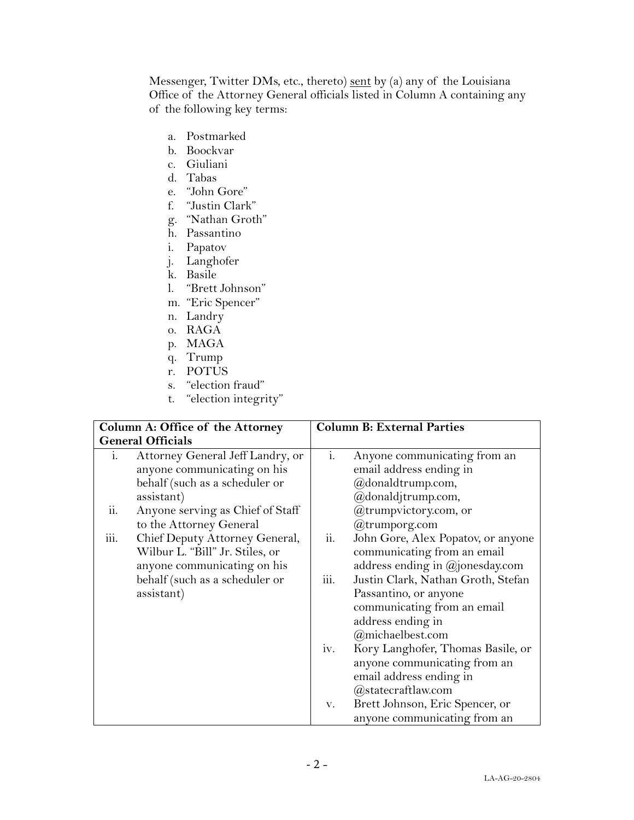Messenger, Twitter DMs, etc., thereto) sent by (a) any of the Louisiana Office of the Attorney General officials listed in Column A containing any of the following key terms:

- a. Postmarked
- b. Boockvar
- c. Giuliani
- d. Tabas
- e. "John Gore"
- f. "Justin Clark"
- g. "Nathan Groth"
- h. Passantino
- i. Papatov
- j. Langhofer
- k. Basile
- l. "Brett Johnson"
- m. "Eric Spencer"
- n. Landry
- o. RAGA
- p. MAGA
- q. Trump
- r. POTUS
- s. "election fraud"
- t. "election integrity"

| Column A: Office of the Attorney |                                                                                                                 | <b>Column B: External Parties</b> |                                                                                                                                     |
|----------------------------------|-----------------------------------------------------------------------------------------------------------------|-----------------------------------|-------------------------------------------------------------------------------------------------------------------------------------|
| <b>General Officials</b>         |                                                                                                                 |                                   |                                                                                                                                     |
| i.                               | Attorney General Jeff Landry, or<br>anyone communicating on his<br>behalf (such as a scheduler or<br>assistant) | $i$ .                             | Anyone communicating from an<br>email address ending in<br>@donaldtrump.com,<br>@donaldjtrump.com,                                  |
| ii.                              | Anyone serving as Chief of Staff<br>to the Attorney General                                                     |                                   | @trumpvictory.com, or<br>$@$ trumporg.com                                                                                           |
| iii.                             | Chief Deputy Attorney General,<br>Wilbur L. "Bill" Jr. Stiles, or<br>anyone communicating on his                | ii.                               | John Gore, Alex Popatov, or anyone<br>communicating from an email<br>address ending in $@$ jonesday.com                             |
|                                  | behalf (such as a scheduler or<br>assistant)                                                                    | iii.                              | Justin Clark, Nathan Groth, Stefan<br>Passantino, or anyone<br>communicating from an email<br>address ending in<br>@michaelbest.com |
|                                  |                                                                                                                 | iv.                               | Kory Langhofer, Thomas Basile, or<br>anyone communicating from an<br>email address ending in<br>@statecraftlaw.com                  |
|                                  |                                                                                                                 | V.                                | Brett Johnson, Eric Spencer, or<br>anyone communicating from an                                                                     |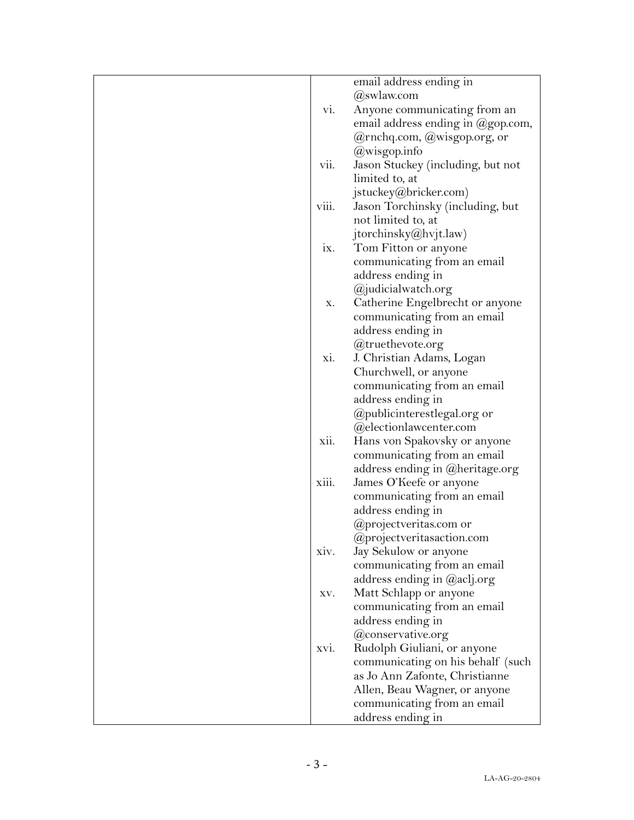| email address ending in<br>@swlaw.com<br>vi.<br>Anyone communicating from an<br>email address ending in @gop.com,<br>@rnchq.com, @wisgop.org, or<br>@wisgop.info<br>vii.<br>Jason Stuckey (including, but not<br>limited to, at<br>jstuckey@bricker.com)<br>viii.<br>Jason Torchinsky (including, but<br>not limited to, at<br>jtorchinsky@hvjt.law)<br>Tom Fitton or anyone<br>IX.<br>communicating from an email<br>address ending in<br>@judicialwatch.org<br>Catherine Engelbrecht or anyone<br>X.<br>communicating from an email<br>address ending in<br>@truethevote.org<br>xi.<br>J. Christian Adams, Logan<br>Churchwell, or anyone<br>communicating from an email<br>address ending in<br>@publicinterestlegal.org or<br>@electionlawcenter.com<br>Hans von Spakovsky or anyone<br>xii.<br>communicating from an email<br>address ending in @heritage.org<br>xiii.<br>James O'Keefe or anyone<br>communicating from an email<br>address ending in<br>@projectveritas.com or<br>@projectveritasaction.com<br>Jay Sekulow or anyone<br>xiv.<br>communicating from an email<br>address ending in @aclj.org<br>Matt Schlapp or anyone<br>XV.<br>communicating from an email<br>address ending in<br>@conservative.org<br>Rudolph Giuliani, or anyone<br>XVI.<br>communicating on his behalf (such<br>as Jo Ann Zafonte, Christianne<br>Allen, Beau Wagner, or anyone<br>communicating from an email |  |                   |
|----------------------------------------------------------------------------------------------------------------------------------------------------------------------------------------------------------------------------------------------------------------------------------------------------------------------------------------------------------------------------------------------------------------------------------------------------------------------------------------------------------------------------------------------------------------------------------------------------------------------------------------------------------------------------------------------------------------------------------------------------------------------------------------------------------------------------------------------------------------------------------------------------------------------------------------------------------------------------------------------------------------------------------------------------------------------------------------------------------------------------------------------------------------------------------------------------------------------------------------------------------------------------------------------------------------------------------------------------------------------------------------------------------|--|-------------------|
|                                                                                                                                                                                                                                                                                                                                                                                                                                                                                                                                                                                                                                                                                                                                                                                                                                                                                                                                                                                                                                                                                                                                                                                                                                                                                                                                                                                                          |  |                   |
|                                                                                                                                                                                                                                                                                                                                                                                                                                                                                                                                                                                                                                                                                                                                                                                                                                                                                                                                                                                                                                                                                                                                                                                                                                                                                                                                                                                                          |  |                   |
|                                                                                                                                                                                                                                                                                                                                                                                                                                                                                                                                                                                                                                                                                                                                                                                                                                                                                                                                                                                                                                                                                                                                                                                                                                                                                                                                                                                                          |  |                   |
|                                                                                                                                                                                                                                                                                                                                                                                                                                                                                                                                                                                                                                                                                                                                                                                                                                                                                                                                                                                                                                                                                                                                                                                                                                                                                                                                                                                                          |  |                   |
|                                                                                                                                                                                                                                                                                                                                                                                                                                                                                                                                                                                                                                                                                                                                                                                                                                                                                                                                                                                                                                                                                                                                                                                                                                                                                                                                                                                                          |  |                   |
|                                                                                                                                                                                                                                                                                                                                                                                                                                                                                                                                                                                                                                                                                                                                                                                                                                                                                                                                                                                                                                                                                                                                                                                                                                                                                                                                                                                                          |  |                   |
|                                                                                                                                                                                                                                                                                                                                                                                                                                                                                                                                                                                                                                                                                                                                                                                                                                                                                                                                                                                                                                                                                                                                                                                                                                                                                                                                                                                                          |  |                   |
|                                                                                                                                                                                                                                                                                                                                                                                                                                                                                                                                                                                                                                                                                                                                                                                                                                                                                                                                                                                                                                                                                                                                                                                                                                                                                                                                                                                                          |  |                   |
|                                                                                                                                                                                                                                                                                                                                                                                                                                                                                                                                                                                                                                                                                                                                                                                                                                                                                                                                                                                                                                                                                                                                                                                                                                                                                                                                                                                                          |  |                   |
|                                                                                                                                                                                                                                                                                                                                                                                                                                                                                                                                                                                                                                                                                                                                                                                                                                                                                                                                                                                                                                                                                                                                                                                                                                                                                                                                                                                                          |  |                   |
|                                                                                                                                                                                                                                                                                                                                                                                                                                                                                                                                                                                                                                                                                                                                                                                                                                                                                                                                                                                                                                                                                                                                                                                                                                                                                                                                                                                                          |  |                   |
|                                                                                                                                                                                                                                                                                                                                                                                                                                                                                                                                                                                                                                                                                                                                                                                                                                                                                                                                                                                                                                                                                                                                                                                                                                                                                                                                                                                                          |  |                   |
|                                                                                                                                                                                                                                                                                                                                                                                                                                                                                                                                                                                                                                                                                                                                                                                                                                                                                                                                                                                                                                                                                                                                                                                                                                                                                                                                                                                                          |  |                   |
|                                                                                                                                                                                                                                                                                                                                                                                                                                                                                                                                                                                                                                                                                                                                                                                                                                                                                                                                                                                                                                                                                                                                                                                                                                                                                                                                                                                                          |  |                   |
|                                                                                                                                                                                                                                                                                                                                                                                                                                                                                                                                                                                                                                                                                                                                                                                                                                                                                                                                                                                                                                                                                                                                                                                                                                                                                                                                                                                                          |  |                   |
|                                                                                                                                                                                                                                                                                                                                                                                                                                                                                                                                                                                                                                                                                                                                                                                                                                                                                                                                                                                                                                                                                                                                                                                                                                                                                                                                                                                                          |  |                   |
|                                                                                                                                                                                                                                                                                                                                                                                                                                                                                                                                                                                                                                                                                                                                                                                                                                                                                                                                                                                                                                                                                                                                                                                                                                                                                                                                                                                                          |  |                   |
|                                                                                                                                                                                                                                                                                                                                                                                                                                                                                                                                                                                                                                                                                                                                                                                                                                                                                                                                                                                                                                                                                                                                                                                                                                                                                                                                                                                                          |  |                   |
|                                                                                                                                                                                                                                                                                                                                                                                                                                                                                                                                                                                                                                                                                                                                                                                                                                                                                                                                                                                                                                                                                                                                                                                                                                                                                                                                                                                                          |  |                   |
|                                                                                                                                                                                                                                                                                                                                                                                                                                                                                                                                                                                                                                                                                                                                                                                                                                                                                                                                                                                                                                                                                                                                                                                                                                                                                                                                                                                                          |  |                   |
|                                                                                                                                                                                                                                                                                                                                                                                                                                                                                                                                                                                                                                                                                                                                                                                                                                                                                                                                                                                                                                                                                                                                                                                                                                                                                                                                                                                                          |  |                   |
|                                                                                                                                                                                                                                                                                                                                                                                                                                                                                                                                                                                                                                                                                                                                                                                                                                                                                                                                                                                                                                                                                                                                                                                                                                                                                                                                                                                                          |  |                   |
|                                                                                                                                                                                                                                                                                                                                                                                                                                                                                                                                                                                                                                                                                                                                                                                                                                                                                                                                                                                                                                                                                                                                                                                                                                                                                                                                                                                                          |  |                   |
|                                                                                                                                                                                                                                                                                                                                                                                                                                                                                                                                                                                                                                                                                                                                                                                                                                                                                                                                                                                                                                                                                                                                                                                                                                                                                                                                                                                                          |  |                   |
|                                                                                                                                                                                                                                                                                                                                                                                                                                                                                                                                                                                                                                                                                                                                                                                                                                                                                                                                                                                                                                                                                                                                                                                                                                                                                                                                                                                                          |  |                   |
|                                                                                                                                                                                                                                                                                                                                                                                                                                                                                                                                                                                                                                                                                                                                                                                                                                                                                                                                                                                                                                                                                                                                                                                                                                                                                                                                                                                                          |  |                   |
|                                                                                                                                                                                                                                                                                                                                                                                                                                                                                                                                                                                                                                                                                                                                                                                                                                                                                                                                                                                                                                                                                                                                                                                                                                                                                                                                                                                                          |  |                   |
|                                                                                                                                                                                                                                                                                                                                                                                                                                                                                                                                                                                                                                                                                                                                                                                                                                                                                                                                                                                                                                                                                                                                                                                                                                                                                                                                                                                                          |  |                   |
|                                                                                                                                                                                                                                                                                                                                                                                                                                                                                                                                                                                                                                                                                                                                                                                                                                                                                                                                                                                                                                                                                                                                                                                                                                                                                                                                                                                                          |  |                   |
|                                                                                                                                                                                                                                                                                                                                                                                                                                                                                                                                                                                                                                                                                                                                                                                                                                                                                                                                                                                                                                                                                                                                                                                                                                                                                                                                                                                                          |  |                   |
|                                                                                                                                                                                                                                                                                                                                                                                                                                                                                                                                                                                                                                                                                                                                                                                                                                                                                                                                                                                                                                                                                                                                                                                                                                                                                                                                                                                                          |  |                   |
|                                                                                                                                                                                                                                                                                                                                                                                                                                                                                                                                                                                                                                                                                                                                                                                                                                                                                                                                                                                                                                                                                                                                                                                                                                                                                                                                                                                                          |  |                   |
|                                                                                                                                                                                                                                                                                                                                                                                                                                                                                                                                                                                                                                                                                                                                                                                                                                                                                                                                                                                                                                                                                                                                                                                                                                                                                                                                                                                                          |  |                   |
|                                                                                                                                                                                                                                                                                                                                                                                                                                                                                                                                                                                                                                                                                                                                                                                                                                                                                                                                                                                                                                                                                                                                                                                                                                                                                                                                                                                                          |  |                   |
|                                                                                                                                                                                                                                                                                                                                                                                                                                                                                                                                                                                                                                                                                                                                                                                                                                                                                                                                                                                                                                                                                                                                                                                                                                                                                                                                                                                                          |  |                   |
|                                                                                                                                                                                                                                                                                                                                                                                                                                                                                                                                                                                                                                                                                                                                                                                                                                                                                                                                                                                                                                                                                                                                                                                                                                                                                                                                                                                                          |  |                   |
|                                                                                                                                                                                                                                                                                                                                                                                                                                                                                                                                                                                                                                                                                                                                                                                                                                                                                                                                                                                                                                                                                                                                                                                                                                                                                                                                                                                                          |  |                   |
|                                                                                                                                                                                                                                                                                                                                                                                                                                                                                                                                                                                                                                                                                                                                                                                                                                                                                                                                                                                                                                                                                                                                                                                                                                                                                                                                                                                                          |  |                   |
|                                                                                                                                                                                                                                                                                                                                                                                                                                                                                                                                                                                                                                                                                                                                                                                                                                                                                                                                                                                                                                                                                                                                                                                                                                                                                                                                                                                                          |  |                   |
|                                                                                                                                                                                                                                                                                                                                                                                                                                                                                                                                                                                                                                                                                                                                                                                                                                                                                                                                                                                                                                                                                                                                                                                                                                                                                                                                                                                                          |  |                   |
|                                                                                                                                                                                                                                                                                                                                                                                                                                                                                                                                                                                                                                                                                                                                                                                                                                                                                                                                                                                                                                                                                                                                                                                                                                                                                                                                                                                                          |  |                   |
|                                                                                                                                                                                                                                                                                                                                                                                                                                                                                                                                                                                                                                                                                                                                                                                                                                                                                                                                                                                                                                                                                                                                                                                                                                                                                                                                                                                                          |  |                   |
|                                                                                                                                                                                                                                                                                                                                                                                                                                                                                                                                                                                                                                                                                                                                                                                                                                                                                                                                                                                                                                                                                                                                                                                                                                                                                                                                                                                                          |  |                   |
|                                                                                                                                                                                                                                                                                                                                                                                                                                                                                                                                                                                                                                                                                                                                                                                                                                                                                                                                                                                                                                                                                                                                                                                                                                                                                                                                                                                                          |  |                   |
|                                                                                                                                                                                                                                                                                                                                                                                                                                                                                                                                                                                                                                                                                                                                                                                                                                                                                                                                                                                                                                                                                                                                                                                                                                                                                                                                                                                                          |  |                   |
|                                                                                                                                                                                                                                                                                                                                                                                                                                                                                                                                                                                                                                                                                                                                                                                                                                                                                                                                                                                                                                                                                                                                                                                                                                                                                                                                                                                                          |  |                   |
|                                                                                                                                                                                                                                                                                                                                                                                                                                                                                                                                                                                                                                                                                                                                                                                                                                                                                                                                                                                                                                                                                                                                                                                                                                                                                                                                                                                                          |  |                   |
|                                                                                                                                                                                                                                                                                                                                                                                                                                                                                                                                                                                                                                                                                                                                                                                                                                                                                                                                                                                                                                                                                                                                                                                                                                                                                                                                                                                                          |  | address ending in |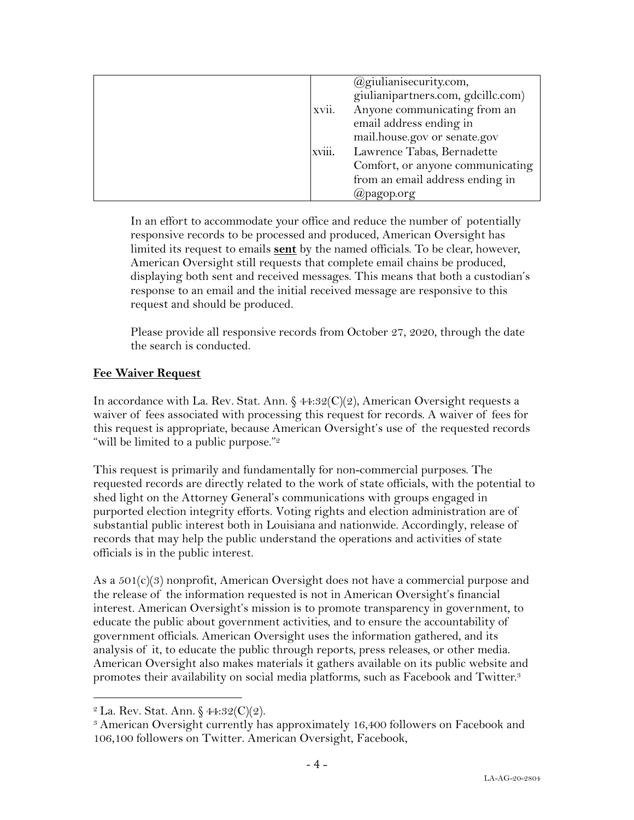|        | @giulianisecurity.com,             |
|--------|------------------------------------|
|        | giulianipartners.com, gdcillc.com) |
| xvii.  | Anyone communicating from an       |
|        | email address ending in            |
|        | mail.house.gov or senate.gov       |
| xviii. | Lawrence Tabas, Bernadette         |
|        | Comfort, or anyone communicating   |
|        | from an email address ending in    |
|        | $(a)$ pagop.org                    |

In an effort to accommodate your office and reduce the number of potentially responsive records to be processed and produced, American Oversight has limited its request to emails **sent** by the named officials. To be clear, however, American Oversight still requests that complete email chains be produced, displaying both sent and received messages. This means that both a custodian's response to an email and the initial received message are responsive to this request and should be produced.

Please provide all responsive records from October 27, 2020, through the date the search is conducted.

#### **Fee Waiver Request**

In accordance with La. Rev. Stat. Ann.  $\frac{6}{44:32(C)(2)}$ , American Oversight requests a waiver of fees associated with processing this request for records. A waiver of fees for this request is appropriate, because American Oversight's use of the requested records "will be limited to a public purpose."<sup>2</sup>

This request is primarily and fundamentally for non-commercial purposes. The requested records are directly related to the work of state officials, with the potential to shed light on the Attorney General's communications with groups engaged in purported election integrity efforts. Voting rights and election administration are of substantial public interest both in Louisiana and nationwide. Accordingly, release of records that may help the public understand the operations and activities of state officials is in the public interest.

As a 501(c)(3) nonprofit, American Oversight does not have a commercial purpose and the release of the information requested is not in American Oversight's financial interest. American Oversight's mission is to promote transparency in government, to educate the public about government activities, and to ensure the accountability of government officials. American Oversight uses the information gathered, and its analysis of it, to educate the public through reports, press releases, or other media. American Oversight also makes materials it gathers available on its public website and promotes their availability on social media platforms, such as Facebook and Twitter.<sup>3</sup>

<sup>&</sup>lt;sup>2</sup> La. Rev. Stat. Ann.  $$44:32(C)(2)$ .

<sup>3</sup> American Oversight currently has approximately 16,400 followers on Facebook and 106,100 followers on Twitter. American Oversight, Facebook,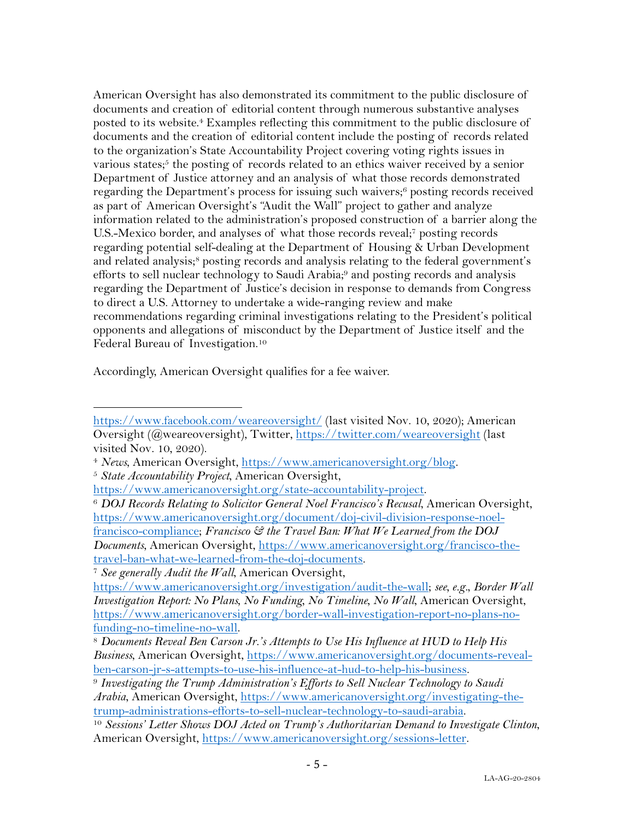American Oversight has also demonstrated its commitment to the public disclosure of documents and creation of editorial content through numerous substantive analyses posted to its website.4 Examples reflecting this commitment to the public disclosure of documents and the creation of editorial content include the posting of records related to the organization's State Accountability Project covering voting rights issues in various states;<sup>5</sup> the posting of records related to an ethics waiver received by a senior Department of Justice attorney and an analysis of what those records demonstrated regarding the Department's process for issuing such waivers;<sup>6</sup> posting records received as part of American Oversight's "Audit the Wall" project to gather and analyze information related to the administration's proposed construction of a barrier along the U.S.-Mexico border, and analyses of what those records reveal;7 posting records regarding potential self-dealing at the Department of Housing & Urban Development and related analysis;<sup>8</sup> posting records and analysis relating to the federal government's efforts to sell nuclear technology to Saudi Arabia;9 and posting records and analysis regarding the Department of Justice's decision in response to demands from Congress to direct a U.S. Attorney to undertake a wide-ranging review and make recommendations regarding criminal investigations relating to the President's political opponents and allegations of misconduct by the Department of Justice itself and the Federal Bureau of Investigation.10

Accordingly, American Oversight qualifies for a fee waiver.

https://www.facebook.com/weareoversight/ (last visited Nov. 10, 2020); American Oversight (@weareoversight), Twitter, https://twitter.com/weareoversight (last visited Nov. 10, 2020).

<sup>4</sup> *News*, American Oversight, https://www.americanoversight.org/blog. 5 *State Accountability Project*, American Oversight,

https://www.americanoversight.org/state-accountability-project.

<sup>6</sup> *DOJ Records Relating to Solicitor General Noel Francisco's Recusal*, American Oversight, https://www.americanoversight.org/document/doj-civil-division-response-noelfrancisco-compliance; *Francisco & the Travel Ban: What We Learned from the DOJ Documents*, American Oversight, https://www.americanoversight.org/francisco-thetravel-ban-what-we-learned-from-the-doj-documents.

<sup>7</sup> *See generally Audit the Wall*, American Oversight,

https://www.americanoversight.org/investigation/audit-the-wall; *see, e.g.*, *Border Wall Investigation Report: No Plans, No Funding, No Timeline, No Wall*, American Oversight, https://www.americanoversight.org/border-wall-investigation-report-no-plans-no-

funding-no-timeline-no-wall. 8 *Documents Reveal Ben Carson Jr.'s Attempts to Use His Influence at HUD to Help His Business*, American Oversight, https://www.americanoversight.org/documents-revealben-carson-jr-s-attempts-to-use-his-influence-at-hud-to-help-his-business. 9 *Investigating the Trump Administration's Efforts to Sell Nuclear Technology to Saudi* 

*Arabia*, American Oversight, https://www.americanoversight.org/investigating-thetrump-administrations-efforts-to-sell-nuclear-technology-to-saudi-arabia. 10 *Sessions' Letter Shows DOJ Acted on Trump's Authoritarian Demand to Investigate Clinton*,

American Oversight, https://www.americanoversight.org/sessions-letter.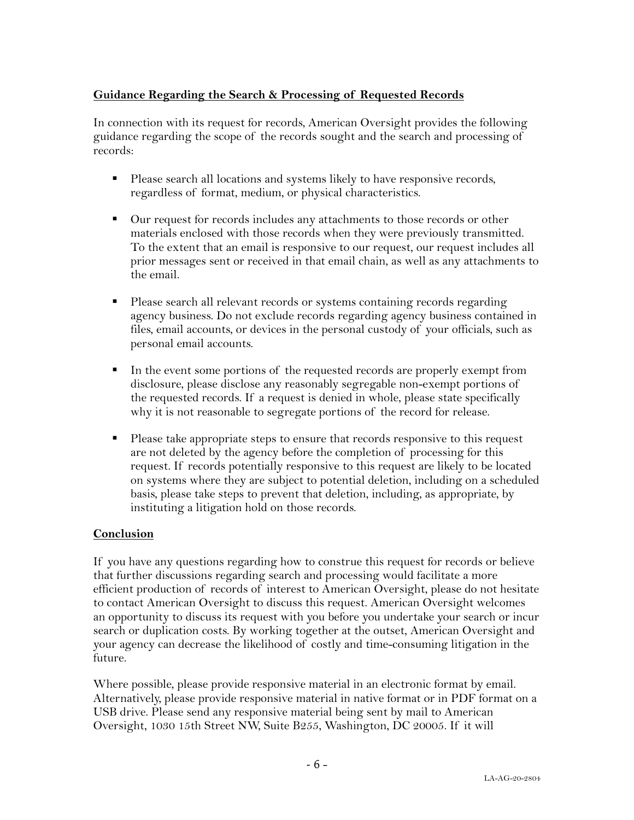### **Guidance Regarding the Search & Processing of Requested Records**

In connection with its request for records, American Oversight provides the following guidance regarding the scope of the records sought and the search and processing of records:

- Please search all locations and systems likely to have responsive records, regardless of format, medium, or physical characteristics.
- Our request for records includes any attachments to those records or other materials enclosed with those records when they were previously transmitted. To the extent that an email is responsive to our request, our request includes all prior messages sent or received in that email chain, as well as any attachments to the email.
- Please search all relevant records or systems containing records regarding agency business. Do not exclude records regarding agency business contained in files, email accounts, or devices in the personal custody of your officials, such as personal email accounts.
- In the event some portions of the requested records are properly exempt from disclosure, please disclose any reasonably segregable non-exempt portions of the requested records. If a request is denied in whole, please state specifically why it is not reasonable to segregate portions of the record for release.
- Please take appropriate steps to ensure that records responsive to this request are not deleted by the agency before the completion of processing for this request. If records potentially responsive to this request are likely to be located on systems where they are subject to potential deletion, including on a scheduled basis, please take steps to prevent that deletion, including, as appropriate, by instituting a litigation hold on those records.

#### **Conclusion**

If you have any questions regarding how to construe this request for records or believe that further discussions regarding search and processing would facilitate a more efficient production of records of interest to American Oversight, please do not hesitate to contact American Oversight to discuss this request. American Oversight welcomes an opportunity to discuss its request with you before you undertake your search or incur search or duplication costs. By working together at the outset, American Oversight and your agency can decrease the likelihood of costly and time-consuming litigation in the future.

Where possible, please provide responsive material in an electronic format by email. Alternatively, please provide responsive material in native format or in PDF format on a USB drive. Please send any responsive material being sent by mail to American Oversight, 1030 15th Street NW, Suite B255, Washington, DC 20005. If it will